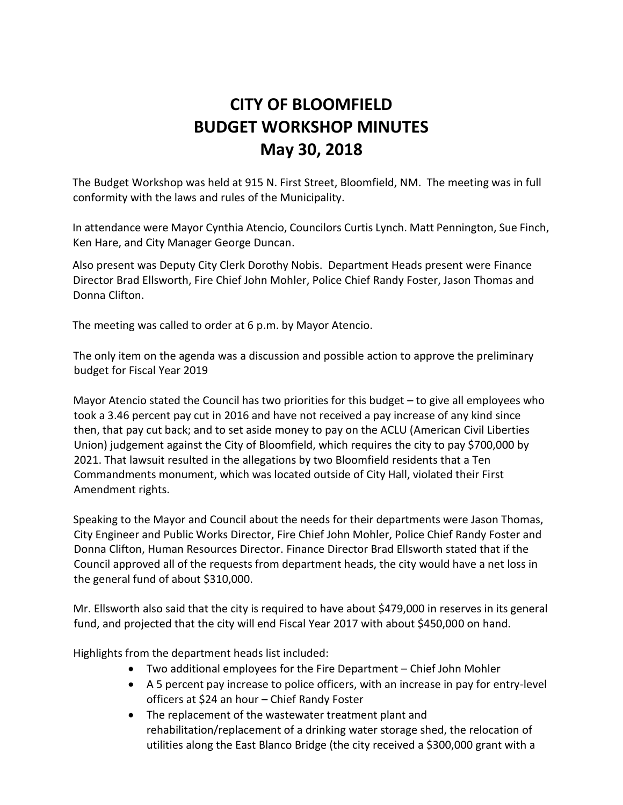## **CITY OF BLOOMFIELD BUDGET WORKSHOP MINUTES May 30, 2018**

The Budget Workshop was held at 915 N. First Street, Bloomfield, NM. The meeting was in full conformity with the laws and rules of the Municipality.

In attendance were Mayor Cynthia Atencio, Councilors Curtis Lynch. Matt Pennington, Sue Finch, Ken Hare, and City Manager George Duncan.

Also present was Deputy City Clerk Dorothy Nobis. Department Heads present were Finance Director Brad Ellsworth, Fire Chief John Mohler, Police Chief Randy Foster, Jason Thomas and Donna Clifton.

The meeting was called to order at 6 p.m. by Mayor Atencio.

The only item on the agenda was a discussion and possible action to approve the preliminary budget for Fiscal Year 2019

Mayor Atencio stated the Council has two priorities for this budget – to give all employees who took a 3.46 percent pay cut in 2016 and have not received a pay increase of any kind since then, that pay cut back; and to set aside money to pay on the ACLU (American Civil Liberties Union) judgement against the City of Bloomfield, which requires the city to pay \$700,000 by 2021. That lawsuit resulted in the allegations by two Bloomfield residents that a Ten Commandments monument, which was located outside of City Hall, violated their First Amendment rights.

Speaking to the Mayor and Council about the needs for their departments were Jason Thomas, City Engineer and Public Works Director, Fire Chief John Mohler, Police Chief Randy Foster and Donna Clifton, Human Resources Director. Finance Director Brad Ellsworth stated that if the Council approved all of the requests from department heads, the city would have a net loss in the general fund of about \$310,000.

Mr. Ellsworth also said that the city is required to have about \$479,000 in reserves in its general fund, and projected that the city will end Fiscal Year 2017 with about \$450,000 on hand.

Highlights from the department heads list included:

- Two additional employees for the Fire Department Chief John Mohler
- A 5 percent pay increase to police officers, with an increase in pay for entry-level officers at \$24 an hour – Chief Randy Foster
- The replacement of the wastewater treatment plant and rehabilitation/replacement of a drinking water storage shed, the relocation of utilities along the East Blanco Bridge (the city received a \$300,000 grant with a